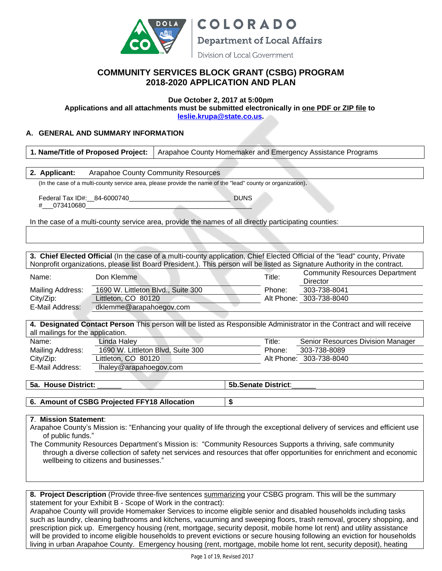

**COLORADO Department of Local Affairs** 

#### Division of Local Government

## **COMMUNITY SERVICES BLOCK GRANT (CSBG) PROGRAM 2018-2020 APPLICATION AND PLAN**

#### **Due October 2, 2017 at 5:00pm**

**Applications and all attachments must be submitted electronically in one PDF or ZIP file to [leslie.krupa@state.co.us](mailto:leslie.krupa@state.co.us).**

### **A. GENERAL AND SUMMARY INFORMATION**

**2. Applicant:** Arapahoe County Community Resources

(In the case of a multi-county service area, please provide the name of the "lead" county or organization).

Federal Tax ID#:\_\_84-6000740\_\_\_\_\_\_\_\_\_\_\_\_\_\_\_\_\_\_\_\_\_\_\_\_\_\_\_\_ DUNS # 073410680

In the case of a multi-county service area, provide the names of all directly participating counties:

**3. Chief Elected Official** (In the case of a multi-county application, Chief Elected Official of the "lead" county, Private Nonprofit organizations, please list Board President.). This person will be listed as Signature Authority in the contract.

| Name:            | Don Klemme                         | Title: | <b>Community Resources Department</b><br>Director |
|------------------|------------------------------------|--------|---------------------------------------------------|
| Mailing Address: | 1690 W. Littleton Blvd., Suite 300 | Phone: | 303-738-8041                                      |
| City/Zip:        | Littleton, CO 80120                |        | Alt Phone: 303-738-8040                           |
| E-Mail Address:  | dklemme@arapahoegov.com            |        |                                                   |

**4. Designated Contact Person** This person will be listed as Responsible Administrator in the Contract and will receive all mailings for the application.

| Linda Haley                       | Title: | Senior Resources Division Manager |
|-----------------------------------|--------|-----------------------------------|
| 1690 W. Littleton Blvd. Suite 300 | Phone: | 303-738-8089                      |
| Littleton, CO 80120               |        | Alt Phone: 303-738-8040           |
| lhaley@arapahoegov.com            |        |                                   |
|                                   |        |                                   |

**5a. House District: 5a. Senate District**:

**6. Amount of CSBG Projected FFY18 Allocation \$**

**7**. **Mission Statement**:

Arapahoe County's Mission is: "Enhancing your quality of life through the exceptional delivery of services and efficient use of public funds."

The Community Resources Department's Mission is: "Community Resources Supports a thriving, safe community through a diverse collection of safety net services and resources that offer opportunities for enrichment and economic wellbeing to citizens and businesses."

**8. Project Description** (Provide three-five sentences summarizing your CSBG program. This will be the summary statement for your Exhibit B - Scope of Work in the contract):

Arapahoe County will provide Homemaker Services to income eligible senior and disabled households including tasks such as laundry, cleaning bathrooms and kitchens, vacuuming and sweeping floors, trash removal, grocery shopping, and prescription pick up. Emergency housing (rent, mortgage, security deposit, mobile home lot rent) and utility assistance will be provided to income eligible households to prevent evictions or secure housing following an eviction for households living in urban Arapahoe County. Emergency housing (rent, mortgage, mobile home lot rent, security deposit), heating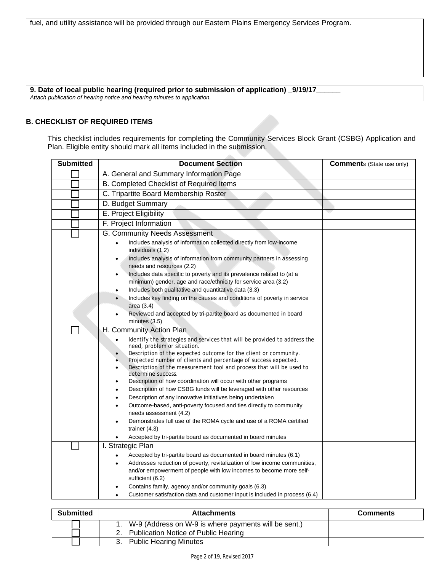fuel, and utility assistance will be provided through our Eastern Plains Emergency Services Program.

### **9. Date of local public hearing (required prior to submission of application) \_9/19/17\_\_\_\_\_\_**

*Attach publication of hearing notice and hearing minutes to application.*

#### **B. CHECKLIST OF REQUIRED ITEMS**

This checklist includes requirements for completing the Community Services Block Grant (CSBG) Application and Plan. Eligible entity should mark all items included in the submission.

| <b>Submitted</b> | <b>Document Section</b>                                                                                                                                                                                                                                                                                                                                                                                                                                                                                                                                                                                                                                                                                                                                                                                                 | <b>Comments (State use only)</b> |
|------------------|-------------------------------------------------------------------------------------------------------------------------------------------------------------------------------------------------------------------------------------------------------------------------------------------------------------------------------------------------------------------------------------------------------------------------------------------------------------------------------------------------------------------------------------------------------------------------------------------------------------------------------------------------------------------------------------------------------------------------------------------------------------------------------------------------------------------------|----------------------------------|
|                  | A. General and Summary Information Page                                                                                                                                                                                                                                                                                                                                                                                                                                                                                                                                                                                                                                                                                                                                                                                 |                                  |
|                  | B. Completed Checklist of Required Items                                                                                                                                                                                                                                                                                                                                                                                                                                                                                                                                                                                                                                                                                                                                                                                |                                  |
|                  | C. Tripartite Board Membership Roster                                                                                                                                                                                                                                                                                                                                                                                                                                                                                                                                                                                                                                                                                                                                                                                   |                                  |
|                  | D. Budget Summary                                                                                                                                                                                                                                                                                                                                                                                                                                                                                                                                                                                                                                                                                                                                                                                                       |                                  |
|                  | E. Project Eligibility                                                                                                                                                                                                                                                                                                                                                                                                                                                                                                                                                                                                                                                                                                                                                                                                  |                                  |
|                  | F. Project Information                                                                                                                                                                                                                                                                                                                                                                                                                                                                                                                                                                                                                                                                                                                                                                                                  |                                  |
|                  | G. Community Needs Assessment                                                                                                                                                                                                                                                                                                                                                                                                                                                                                                                                                                                                                                                                                                                                                                                           |                                  |
|                  | Includes analysis of information collected directly from low-income<br>$\bullet$<br>individuals (1.2)                                                                                                                                                                                                                                                                                                                                                                                                                                                                                                                                                                                                                                                                                                                   |                                  |
|                  | Includes analysis of information from community partners in assessing<br>needs and resources (2.2)                                                                                                                                                                                                                                                                                                                                                                                                                                                                                                                                                                                                                                                                                                                      |                                  |
|                  | Includes data specific to poverty and its prevalence related to (at a<br>$\bullet$<br>minimum) gender, age and race/ethnicity for service area (3.2)                                                                                                                                                                                                                                                                                                                                                                                                                                                                                                                                                                                                                                                                    |                                  |
|                  | Includes both qualitative and quantitative data (3.3)<br>$\bullet$<br>Includes key finding on the causes and conditions of poverty in service<br>$\bullet$<br>area (3.4)                                                                                                                                                                                                                                                                                                                                                                                                                                                                                                                                                                                                                                                |                                  |
|                  | Reviewed and accepted by tri-partite board as documented in board<br>minutes $(3.5)$                                                                                                                                                                                                                                                                                                                                                                                                                                                                                                                                                                                                                                                                                                                                    |                                  |
|                  | H. Community Action Plan                                                                                                                                                                                                                                                                                                                                                                                                                                                                                                                                                                                                                                                                                                                                                                                                |                                  |
|                  | Identify the strategies and services that will be provided to address the<br>$\bullet$<br>need, problem or situation.<br>Description of the expected outcome for the client or community.<br>$\bullet$<br>Projected number of clients and percentage of success expected.<br>$\ddot{\bullet}$<br>Description of the measurement tool and process that will be used to<br>$\bullet$<br>determine success.<br>Description of how coordination will occur with other programs<br>Description of how CSBG funds will be leveraged with other resources<br>Description of any innovative initiatives being undertaken<br>$\bullet$<br>Outcome-based, anti-poverty focused and ties directly to community<br>needs assessment (4.2)<br>Demonstrates full use of the ROMA cycle and use of a ROMA certified<br>trainer $(4.3)$ |                                  |
|                  | Accepted by tri-partite board as documented in board minutes                                                                                                                                                                                                                                                                                                                                                                                                                                                                                                                                                                                                                                                                                                                                                            |                                  |
|                  | I. Strategic Plan                                                                                                                                                                                                                                                                                                                                                                                                                                                                                                                                                                                                                                                                                                                                                                                                       |                                  |
|                  | Accepted by tri-partite board as documented in board minutes (6.1)<br>Addresses reduction of poverty, revitalization of low income communities,<br>$\bullet$<br>and/or empowerment of people with low incomes to become more self-<br>sufficient (6.2)                                                                                                                                                                                                                                                                                                                                                                                                                                                                                                                                                                  |                                  |
|                  | Contains family, agency and/or community goals (6.3)<br>Customer satisfaction data and customer input is included in process (6.4)<br>$\bullet$                                                                                                                                                                                                                                                                                                                                                                                                                                                                                                                                                                                                                                                                         |                                  |

| <b>Submitted</b> | <b>Attachments</b>                                   | <b>Comments</b> |
|------------------|------------------------------------------------------|-----------------|
|                  | W-9 (Address on W-9 is where payments will be sent.) |                 |
|                  | Publication Notice of Public Hearing                 |                 |
|                  | <b>Public Hearing Minutes</b>                        |                 |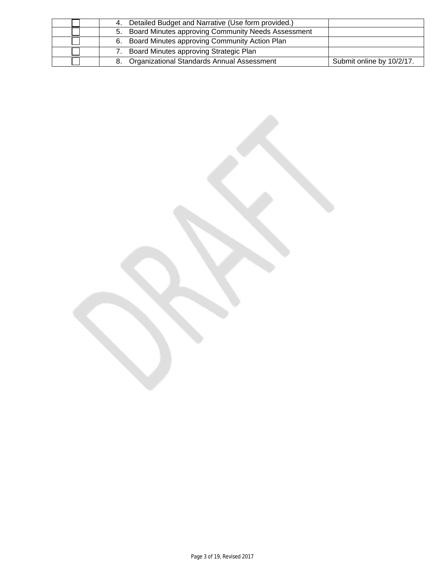| 4. Detailed Budget and Narrative (Use form provided.) |                           |
|-------------------------------------------------------|---------------------------|
| 5. Board Minutes approving Community Needs Assessment |                           |
| 6. Board Minutes approving Community Action Plan      |                           |
| Board Minutes approving Strategic Plan                |                           |
| 8. Organizational Standards Annual Assessment         | Submit online by 10/2/17. |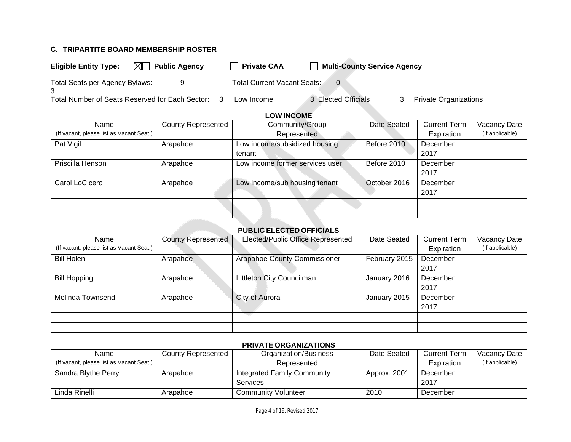## **C. TRIPARTITE BOARD MEMBERSHIP ROSTER**

| <b>Eligible Entity Type:</b>                    | $\boxtimes$ Public Agency | <b>Private CAA</b>          | <b>Multi-County Service Agency</b> |                         |
|-------------------------------------------------|---------------------------|-----------------------------|------------------------------------|-------------------------|
| Total Seats per Agency Bylaws:                  |                           | Total Current Vacant Seats: |                                    |                         |
| Total Number of Seats Reserved for Each Sector: |                           | $\mathbf{3}$<br>Low Income  | 3 Elected Officials                | 3 Private Organizations |

# **LOW INCOME**

| Name                                     | <b>County Represented</b> | Community/Group                 | Date Seated  | <b>Current Term</b> | Vacancy Date    |
|------------------------------------------|---------------------------|---------------------------------|--------------|---------------------|-----------------|
| (If vacant, please list as Vacant Seat.) |                           | Represented                     |              | Expiration          | (If applicable) |
| Pat Vigil                                | Arapahoe                  | Low income/subsidized housing   | Before 2010  | December            |                 |
|                                          |                           | tenant                          |              | 2017                |                 |
| Priscilla Henson                         | Arapahoe                  | Low income former services user | Before 2010  | December            |                 |
|                                          |                           |                                 |              | 2017                |                 |
| Carol LoCicero                           | Arapahoe                  | Low income/sub housing tenant   | October 2016 | December            |                 |
|                                          |                           |                                 |              | 2017                |                 |
|                                          |                           |                                 |              |                     |                 |
|                                          |                           |                                 |              |                     |                 |

## **PUBLIC ELECTED OFFICIALS**

| Name                                     | <b>County Represented</b> | Elected/Public Office Represented | Date Seated   | <b>Current Term</b> | Vacancy Date    |
|------------------------------------------|---------------------------|-----------------------------------|---------------|---------------------|-----------------|
| (If vacant, please list as Vacant Seat.) |                           |                                   |               | Expiration          | (If applicable) |
| <b>Bill Holen</b>                        | Arapahoe                  | Arapahoe County Commissioner      | February 2015 | December            |                 |
|                                          |                           |                                   |               | 2017                |                 |
| <b>Bill Hopping</b>                      | Arapahoe                  | Littleton City Councilman         | January 2016  | December            |                 |
|                                          |                           |                                   |               | 2017                |                 |
| Melinda Townsend                         | Arapahoe                  | City of Aurora                    | January 2015  | December            |                 |
|                                          |                           |                                   |               | 2017                |                 |
|                                          |                           |                                   |               |                     |                 |
|                                          |                           |                                   |               |                     |                 |

### **PRIVATE ORGANIZATIONS**

| Name                                     | <b>County Represented</b> | Organization/Business       | Date Seated  | <b>Current Term</b> | Vacancy Date    |
|------------------------------------------|---------------------------|-----------------------------|--------------|---------------------|-----------------|
| (If vacant, please list as Vacant Seat.) |                           | Represented                 |              | Expiration          | (If applicable) |
| Sandra Blythe Perry                      | Arapahoe                  | Integrated Family Community | Approx. 2001 | December            |                 |
|                                          |                           | <b>Services</b>             |              | 2017                |                 |
| Linda Rinelli                            | Arapahoe                  | <b>Community Volunteer</b>  | 2010         | December            |                 |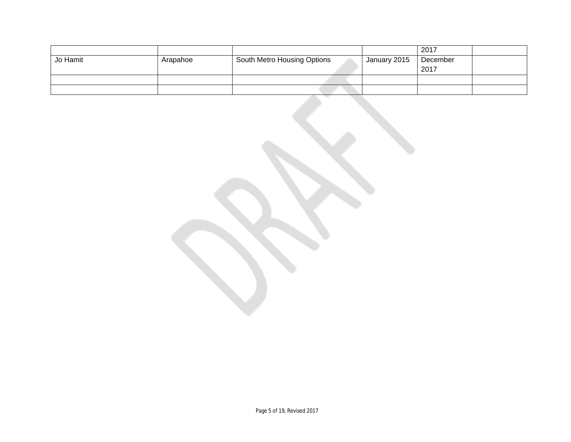|          |          |                             |              | 2017     |  |
|----------|----------|-----------------------------|--------------|----------|--|
| Jo Hamit | Arapahoe | South Metro Housing Options | January 2015 | December |  |
|          |          |                             |              | 2017     |  |
|          |          |                             |              |          |  |
|          |          |                             |              |          |  |

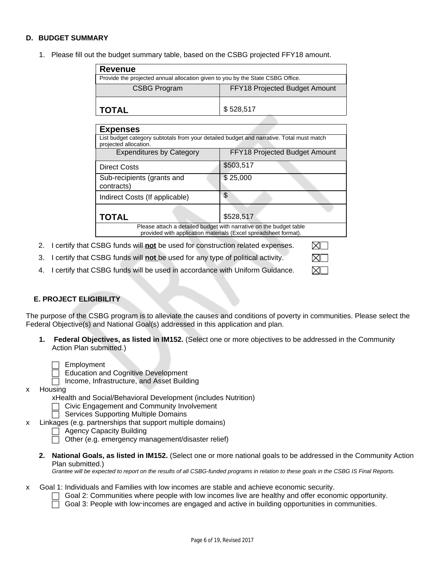### **D. BUDGET SUMMARY**

1. Please fill out the budget summary table, based on the CSBG projected FFY18 amount.

| <b>Revenue</b>                                                                 |                               |  |  |  |
|--------------------------------------------------------------------------------|-------------------------------|--|--|--|
| Provide the projected annual allocation given to you by the State CSBG Office. |                               |  |  |  |
| <b>CSBG Program</b>                                                            | FFY18 Projected Budget Amount |  |  |  |
| ∣ TOTAL                                                                        | \$528,517                     |  |  |  |

| <b>Expenses</b>                                                                                                                       |                               |  |  |  |  |  |
|---------------------------------------------------------------------------------------------------------------------------------------|-------------------------------|--|--|--|--|--|
| List budget category subtotals from your detailed budget and narrative. Total must match<br>projected allocation.                     |                               |  |  |  |  |  |
| <b>Expenditures by Category</b>                                                                                                       | FFY18 Projected Budget Amount |  |  |  |  |  |
| <b>Direct Costs</b>                                                                                                                   | \$503,517                     |  |  |  |  |  |
| Sub-recipients (grants and<br>contracts)                                                                                              | \$25,000                      |  |  |  |  |  |
| Indirect Costs (If applicable)                                                                                                        | \$                            |  |  |  |  |  |
| <b>TOTAL</b>                                                                                                                          | \$528,517                     |  |  |  |  |  |
| Please attach a detailed budget with narrative on the budget table<br>provided with application materials (Excel spreadsheet format). |                               |  |  |  |  |  |

⊠Г ⊠⊑ ⊠Г

- 2. I certify that CSBG funds will **not** be used for construction related expenses.
- 3. I certify that CSBG funds will **not** be used for any type of political activity.
- 4. I certify that CSBG funds will be used in accordance with Uniform Guidance.

### **E. PROJECT ELIGIBILITY**

The purpose of the CSBG program is to alleviate the causes and conditions of poverty in communities. Please select the Federal Objective(s) and National Goal(s) addressed in this application and plan.

**1. Federal Objectives, as listed in IM152.** (Select one or more objectives to be addressed in the Community Action Plan submitted.)

|  |  | Employment |  |
|--|--|------------|--|
|  |  |            |  |

- Education and Cognitive Development
- $\Box$  Income, Infrastructure, and Asset Building
- x Housing

xHealth and Social/Behavioral Development (includes Nutrition)

- Civic Engagement and Community Involvement
- $\overline{\Box}$  Services Supporting Multiple Domains
- x Linkages (e.g. partnerships that support multiple domains)
	- Agency Capacity Building
	- Other (e.g. emergency management/disaster relief)
	- **2. National Goals, as listed in IM152.** (Select one or more national goals to be addressed in the Community Action Plan submitted.)

*Grantee will be expected to report on the results of all CSBG-funded programs in relation to these goals in the CSBG IS Final Reports.*

- x Goal 1: Individuals and Families with low incomes are stable and achieve economic security.
	- $\Box$  Goal 2: Communities where people with low incomes live are healthy and offer economic opportunity.
		- Goal 3: People with low-incomes are engaged and active in building opportunities in communities.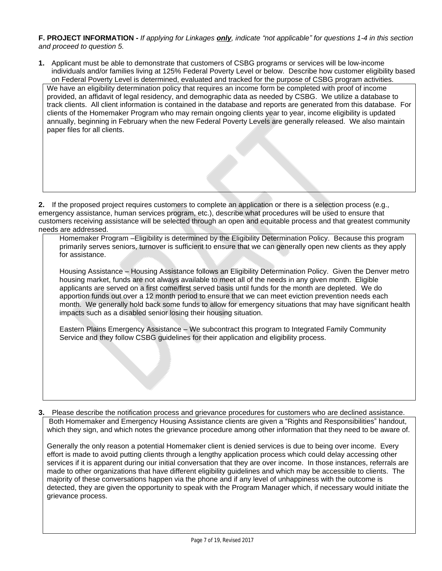**F. PROJECT INFORMATION -** *If applying for Linkages only, indicate "not applicable" for questions 1-4 in this section and proceed to question 5.*

**1.** Applicant must be able to demonstrate that customers of CSBG programs or services will be low-income individuals and/or families living at 125% Federal Poverty Level or below. Describe how customer eligibility based on Federal Poverty Level is determined, evaluated and tracked for the purpose of CSBG program activities.

We have an eligibility determination policy that requires an income form be completed with proof of income provided, an affidavit of legal residency, and demographic data as needed by CSBG. We utilize a database to track clients. All client information is contained in the database and reports are generated from this database. For clients of the Homemaker Program who may remain ongoing clients year to year, income eligibility is updated annually, beginning in February when the new Federal Poverty Levels are generally released. We also maintain paper files for all clients.

**2.** If the proposed project requires customers to complete an application or there is a selection process (e.g., emergency assistance, human services program, etc.), describe what procedures will be used to ensure that customers receiving assistance will be selected through an open and equitable process and that greatest community needs are addressed.

Homemaker Program –Eligibility is determined by the Eligibility Determination Policy. Because this program primarily serves seniors, turnover is sufficient to ensure that we can generally open new clients as they apply for assistance.

Housing Assistance – Housing Assistance follows an Eligibility Determination Policy. Given the Denver metro housing market, funds are not always available to meet all of the needs in any given month. Eligible applicants are served on a first come/first served basis until funds for the month are depleted. We do apportion funds out over a 12 month period to ensure that we can meet eviction prevention needs each month. We generally hold back some funds to allow for emergency situations that may have significant health impacts such as a disabled senior losing their housing situation.

Eastern Plains Emergency Assistance – We subcontract this program to Integrated Family Community Service and they follow CSBG guidelines for their application and eligibility process.

**3.** Please describe the notification process and grievance procedures for customers who are declined assistance. Both Homemaker and Emergency Housing Assistance clients are given a "Rights and Responsibilities" handout, which they sign, and which notes the grievance procedure among other information that they need to be aware of.

Generally the only reason a potential Homemaker client is denied services is due to being over income. Every effort is made to avoid putting clients through a lengthy application process which could delay accessing other services if it is apparent during our initial conversation that they are over income. In those instances, referrals are made to other organizations that have different eligibility guidelines and which may be accessible to clients. The majority of these conversations happen via the phone and if any level of unhappiness with the outcome is detected, they are given the opportunity to speak with the Program Manager which, if necessary would initiate the grievance process.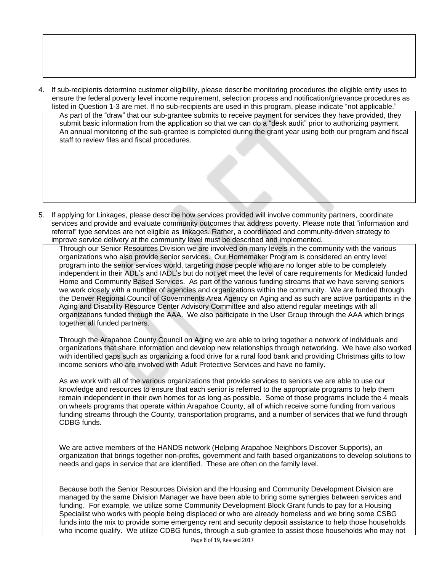4. If sub-recipients determine customer eligibility, please describe monitoring procedures the eligible entity uses to ensure the federal poverty level income requirement, selection process and notification/grievance procedures as listed in Question 1-3 are met. If no sub-recipients are used in this program, please indicate "not applicable."

As part of the "draw" that our sub-grantee submits to receive payment for services they have provided, they submit basic information from the application so that we can do a "desk audit" prior to authorizing payment. An annual monitoring of the sub-grantee is completed during the grant year using both our program and fiscal staff to review files and fiscal procedures.

5. If applying for Linkages, please describe how services provided will involve community partners, coordinate services and provide and evaluate community outcomes that address poverty. Please note that "information and referral" type services are not eligible as linkages. Rather, a coordinated and community-driven strategy to improve service delivery at the community level must be described and implemented.

Through our Senior Resources Division we are involved on many levels in the community with the various organizations who also provide senior services. Our Homemaker Program is considered an entry level program into the senior services world, targeting those people who are no longer able to be completely independent in their ADL's and IADL's but do not yet meet the level of care requirements for Medicaid funded Home and Community Based Services. As part of the various funding streams that we have serving seniors we work closely with a number of agencies and organizations within the community. We are funded through the Denver Regional Council of Governments Area Agency on Aging and as such are active participants in the Aging and Disability Resource Center Advisory Committee and also attend regular meetings with all organizations funded through the AAA. We also participate in the User Group through the AAA which brings together all funded partners.

Through the Arapahoe County Council on Aging we are able to bring together a network of individuals and organizations that share information and develop new relationships through networking. We have also worked with identified gaps such as organizing a food drive for a rural food bank and providing Christmas gifts to low income seniors who are involved with Adult Protective Services and have no family.

As we work with all of the various organizations that provide services to seniors we are able to use our knowledge and resources to ensure that each senior is referred to the appropriate programs to help them remain independent in their own homes for as long as possible. Some of those programs include the 4 meals on wheels programs that operate within Arapahoe County, all of which receive some funding from various funding streams through the County, transportation programs, and a number of services that we fund through CDBG funds.

We are active members of the HANDS network (Helping Arapahoe Neighbors Discover Supports), an organization that brings together non-profits, government and faith based organizations to develop solutions to needs and gaps in service that are identified. These are often on the family level.

Because both the Senior Resources Division and the Housing and Community Development Division are managed by the same Division Manager we have been able to bring some synergies between services and funding. For example, we utilize some Community Development Block Grant funds to pay for a Housing Specialist who works with people being displaced or who are already homeless and we bring some CSBG funds into the mix to provide some emergency rent and security deposit assistance to help those households who income qualify. We utilize CDBG funds, through a sub-grantee to assist those households who may not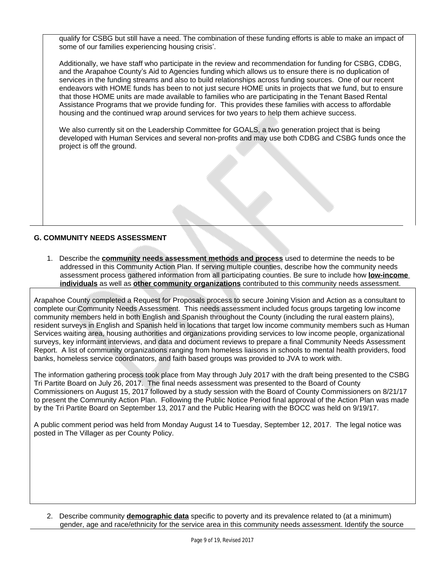qualify for CSBG but still have a need. The combination of these funding efforts is able to make an impact of some of our families experiencing housing crisis'.

Additionally, we have staff who participate in the review and recommendation for funding for CSBG, CDBG, and the Arapahoe County's Aid to Agencies funding which allows us to ensure there is no duplication of services in the funding streams and also to build relationships across funding sources. One of our recent endeavors with HOME funds has been to not just secure HOME units in projects that we fund, but to ensure that those HOME units are made available to families who are participating in the Tenant Based Rental Assistance Programs that we provide funding for. This provides these families with access to affordable housing and the continued wrap around services for two years to help them achieve success.

We also currently sit on the Leadership Committee for GOALS, a two generation project that is being developed with Human Services and several non-profits and may use both CDBG and CSBG funds once the project is off the ground.

## **G. COMMUNITY NEEDS ASSESSMENT**

1. Describe the **community needs assessment methods and process** used to determine the needs to be addressed in this Community Action Plan. If serving multiple counties, describe how the community needs assessment process gathered information from all participating counties. Be sure to include how **low-income individuals** as well as **other community organizations** contributed to this community needs assessment.

Arapahoe County completed a Request for Proposals process to secure Joining Vision and Action as a consultant to complete our Community Needs Assessment. This needs assessment included focus groups targeting low income community members held in both English and Spanish throughout the County (including the rural eastern plains), resident surveys in English and Spanish held in locations that target low income community members such as Human Services waiting area, housing authorities and organizations providing services to low income people, organizational surveys, key informant interviews, and data and document reviews to prepare a final Community Needs Assessment Report. A list of community organizations ranging from homeless liaisons in schools to mental health providers, food banks, homeless service coordinators, and faith based groups was provided to JVA to work with.

The information gathering process took place from May through July 2017 with the draft being presented to the CSBG Tri Partite Board on July 26, 2017. The final needs assessment was presented to the Board of County Commissioners on August 15, 2017 followed by a study session with the Board of County Commissioners on 8/21/17 to present the Community Action Plan. Following the Public Notice Period final approval of the Action Plan was made by the Tri Partite Board on September 13, 2017 and the Public Hearing with the BOCC was held on 9/19/17.

A public comment period was held from Monday August 14 to Tuesday, September 12, 2017. The legal notice was posted in The Villager as per County Policy.

2. Describe community **demographic data** specific to poverty and its prevalence related to (at a minimum) gender, age and race/ethnicity for the service area in this community needs assessment. Identify the source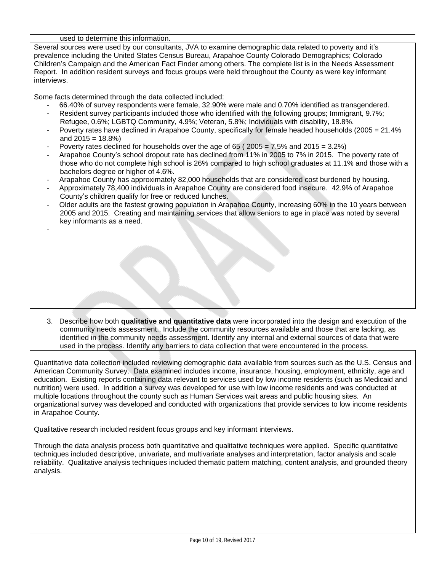#### used to determine this information.

-

Several sources were used by our consultants, JVA to examine demographic data related to poverty and it's prevalence including the United States Census Bureau, Arapahoe County Colorado Demographics; Colorado Children's Campaign and the American Fact Finder among others. The complete list is in the Needs Assessment Report. In addition resident surveys and focus groups were held throughout the County as were key informant interviews.

Some facts determined through the data collected included:

- 66.40% of survey respondents were female, 32.90% were male and 0.70% identified as transgendered.
- Resident survey participants included those who identified with the following groups; Immigrant, 9.7%; Refugee, 0.6%; LGBTQ Community, 4.9%; Veteran, 5.8%; Individuals with disability, 18.8%.
- Poverty rates have declined in Arapahoe County, specifically for female headed households (2005 = 21.4%) and  $2015 = 18.8\%$
- Poverty rates declined for households over the age of  $65$  ( $2005 = 7.5\%$  and  $2015 = 3.2\%$ )
- Arapahoe County's school dropout rate has declined from 11% in 2005 to 7% in 2015. The poverty rate of those who do not complete high school is 26% compared to high school graduates at 11.1% and those with a bachelors degree or higher of 4.6%.
- Arapahoe County has approximately 82,000 households that are considered cost burdened by housing.
- Approximately 78,400 individuals in Arapahoe County are considered food insecure. 42.9% of Arapahoe County's children qualify for free or reduced lunches.
- Older adults are the fastest growing population in Arapahoe County, increasing 60% in the 10 years between 2005 and 2015. Creating and maintaining services that allow seniors to age in place was noted by several key informants as a need.

3. Describe how both **qualitative and quantitative data** were incorporated into the design and execution of the community needs assessment., Include the community resources available and those that are lacking, as identified in the community needs assessment. Identify any internal and external sources of data that were used in the process. Identify any barriers to data collection that were encountered in the process.

Quantitative data collection included reviewing demographic data available from sources such as the U.S. Census and American Community Survey. Data examined includes income, insurance, housing, employment, ethnicity, age and education. Existing reports containing data relevant to services used by low income residents (such as Medicaid and nutrition) were used. In addition a survey was developed for use with low income residents and was conducted at multiple locations throughout the county such as Human Services wait areas and public housing sites. An organizational survey was developed and conducted with organizations that provide services to low income residents in Arapahoe County.

Qualitative research included resident focus groups and key informant interviews.

Through the data analysis process both quantitative and qualitative techniques were applied. Specific quantitative techniques included descriptive, univariate, and multivariate analyses and interpretation, factor analysis and scale reliability. Qualitative analysis techniques included thematic pattern matching, content analysis, and grounded theory analysis.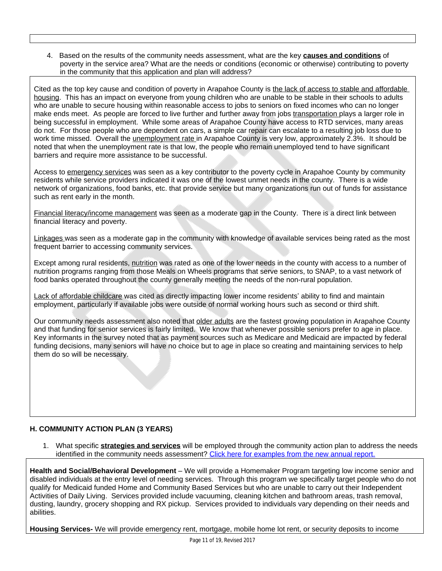4. Based on the results of the community needs assessment, what are the key **causes and conditions** of poverty in the service area? What are the needs or conditions (economic or otherwise) contributing to poverty in the community that this application and plan will address?

Cited as the top key cause and condition of poverty in Arapahoe County is the lack of access to stable and affordable housing. This has an impact on everyone from young children who are unable to be stable in their schools to adults who are unable to secure housing within reasonable access to jobs to seniors on fixed incomes who can no longer make ends meet. As people are forced to live further and further away from jobs transportation plays a larger role in being successful in employment. While some areas of Arapahoe County have access to RTD services, many areas do not. For those people who are dependent on cars, a simple car repair can escalate to a resulting job loss due to work time missed. Overall the unemployment rate in Arapahoe County is very low, approximately 2.3%. It should be noted that when the unemployment rate is that low, the people who remain unemployed tend to have significant barriers and require more assistance to be successful.

Access to emergency services was seen as a key contributor to the poverty cycle in Arapahoe County by community residents while service providers indicated it was one of the lowest unmet needs in the county. There is a wide network of organizations, food banks, etc. that provide service but many organizations run out of funds for assistance such as rent early in the month.

Financial literacy/income management was seen as a moderate gap in the County. There is a direct link between financial literacy and poverty.

Linkages was seen as a moderate gap in the community with knowledge of available services being rated as the most frequent barrier to accessing community services.

Except among rural residents, nutrition was rated as one of the lower needs in the county with access to a number of nutrition programs ranging from those Meals on Wheels programs that serve seniors, to SNAP, to a vast network of food banks operated throughout the county generally meeting the needs of the non-rural population.

Lack of affordable childcare was cited as directly impacting lower income residents' ability to find and maintain employment, particularly if available jobs were outside of normal working hours such as second or third shift.

Our community needs assessment also noted that older adults are the fastest growing population in Arapahoe County and that funding for senior services is fairly limited. We know that whenever possible seniors prefer to age in place. Key informants in the survey noted that as payment sources such as Medicare and Medicaid are impacted by federal funding decisions, many seniors will have no choice but to age in place so creating and maintaining services to help them do so will be necessary.

### **H. COMMUNITY ACTION PLAN (3 YEARS)**

1. What specific **strategies and services** will be employed through the community action plan to address the needs identified in the community needs assessment? [Click here for examples from the new annual report.](https://www.acf.hhs.gov/sites/default/files/ocs/rpt_csbg_annual_report_final.pdf)

**Health and Social/Behavioral Development** – We will provide a Homemaker Program targeting low income senior and disabled individuals at the entry level of needing services. Through this program we specifically target people who do not qualify for Medicaid funded Home and Community Based Services but who are unable to carry out their Independent Activities of Daily Living. Services provided include vacuuming, cleaning kitchen and bathroom areas, trash removal, dusting, laundry, grocery shopping and RX pickup. Services provided to individuals vary depending on their needs and abilities.

**Housing Services-** We will provide emergency rent, mortgage, mobile home lot rent, or security deposits to income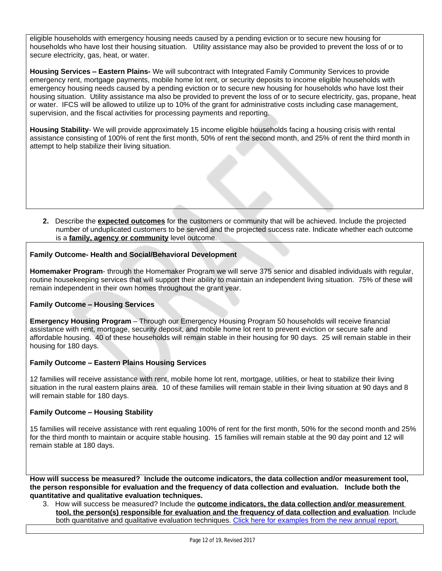eligible households with emergency housing needs caused by a pending eviction or to secure new housing for households who have lost their housing situation. Utility assistance may also be provided to prevent the loss of or to secure electricity, gas, heat, or water.

**Housing Services – Eastern Plains-** We will subcontract with Integrated Family Community Services to provide emergency rent, mortgage payments, mobile home lot rent, or security deposits to income eligible households with emergency housing needs caused by a pending eviction or to secure new housing for households who have lost their housing situation. Utility assistance ma also be provided to prevent the loss of or to secure electricity, gas, propane, heat or water. IFCS will be allowed to utilize up to 10% of the grant for administrative costs including case management, supervision, and the fiscal activities for processing payments and reporting.

**Housing Stability**- We will provide approximately 15 income eligible households facing a housing crisis with rental assistance consisting of 100% of rent the first month, 50% of rent the second month, and 25% of rent the third month in attempt to help stabilize their living situation.

**2.** Describe the **expected outcomes** for the customers or community that will be achieved. Include the projected number of unduplicated customers to be served and the projected success rate. Indicate whether each outcome is a **family, agency or community** level outcome.

### **Family Outcome- Health and Social/Behavioral Development**

**Homemaker Program**- through the Homemaker Program we will serve 375 senior and disabled individuals with regular, routine housekeeping services that will support their ability to maintain an independent living situation. 75% of these will remain independent in their own homes throughout the grant year.

### **Family Outcome – Housing Services**

**Emergency Housing Program** – Through our Emergency Housing Program 50 households will receive financial assistance with rent, mortgage, security deposit, and mobile home lot rent to prevent eviction or secure safe and affordable housing. 40 of these households will remain stable in their housing for 90 days. 25 will remain stable in their housing for 180 days.

#### **Family Outcome – Eastern Plains Housing Services**

12 families will receive assistance with rent, mobile home lot rent, mortgage, utilities, or heat to stabilize their living situation in the rural eastern plains area. 10 of these families will remain stable in their living situation at 90 days and 8 will remain stable for 180 days.

### **Family Outcome – Housing Stability**

15 families will receive assistance with rent equaling 100% of rent for the first month, 50% for the second month and 25% for the third month to maintain or acquire stable housing. 15 families will remain stable at the 90 day point and 12 will remain stable at 180 days.

**How will success be measured? Include the outcome indicators, the data collection and/or measurement tool, the person responsible for evaluation and the frequency of data collection and evaluation. Include both the quantitative and qualitative evaluation techniques.**

3. How will success be measured? Include the **outcome indicators, the data collection and/or measurement tool, the person(s) responsible for evaluation and the frequency of data collection and evaluation**. Include both quantitative and qualitative evaluation techniques. [Click here for examples from the new annual report.](https://www.acf.hhs.gov/sites/default/files/ocs/rpt_csbg_annual_report_final.pdf)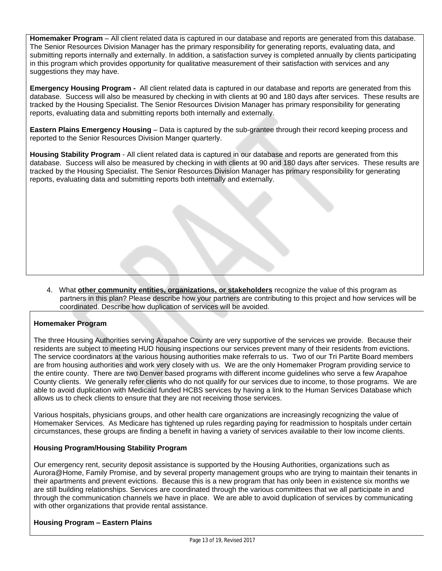**Homemaker Program** – All client related data is captured in our database and reports are generated from this database. The Senior Resources Division Manager has the primary responsibility for generating reports, evaluating data, and submitting reports internally and externally. In addition, a satisfaction survey is completed annually by clients participating in this program which provides opportunity for qualitative measurement of their satisfaction with services and any suggestions they may have.

**Emergency Housing Program -** All client related data is captured in our database and reports are generated from this database. Success will also be measured by checking in with clients at 90 and 180 days after services. These results are tracked by the Housing Specialist. The Senior Resources Division Manager has primary responsibility for generating reports, evaluating data and submitting reports both internally and externally.

**Eastern Plains Emergency Housing** – Data is captured by the sub-grantee through their record keeping process and reported to the Senior Resources Division Manger quarterly.

**Housing Stability Program** - All client related data is captured in our database and reports are generated from this database. Success will also be measured by checking in with clients at 90 and 180 days after services. These results are tracked by the Housing Specialist. The Senior Resources Division Manager has primary responsibility for generating reports, evaluating data and submitting reports both internally and externally.

4. What **other community entities, organizations, or stakeholders** recognize the value of this program as partners in this plan? Please describe how your partners are contributing to this project and how services will be coordinated. Describe how duplication of services will be avoided.

### **Homemaker Program**

The three Housing Authorities serving Arapahoe County are very supportive of the services we provide. Because their residents are subject to meeting HUD housing inspections our services prevent many of their residents from evictions. The service coordinators at the various housing authorities make referrals to us. Two of our Tri Partite Board members are from housing authorities and work very closely with us. We are the only Homemaker Program providing service to the entire county. There are two Denver based programs with different income guidelines who serve a few Arapahoe County clients. We generally refer clients who do not qualify for our services due to income, to those programs. We are able to avoid duplication with Medicaid funded HCBS services by having a link to the Human Services Database which allows us to check clients to ensure that they are not receiving those services.

Various hospitals, physicians groups, and other health care organizations are increasingly recognizing the value of Homemaker Services. As Medicare has tightened up rules regarding paying for readmission to hospitals under certain circumstances, these groups are finding a benefit in having a variety of services available to their low income clients.

### **Housing Program/Housing Stability Program**

Our emergency rent, security deposit assistance is supported by the Housing Authorities, organizations such as Aurora@Home, Family Promise, and by several property management groups who are trying to maintain their tenants in their apartments and prevent evictions. Because this is a new program that has only been in existence six months we are still building relationships. Services are coordinated through the various committees that we all participate in and through the communication channels we have in place. We are able to avoid duplication of services by communicating with other organizations that provide rental assistance.

#### **Housing Program – Eastern Plains**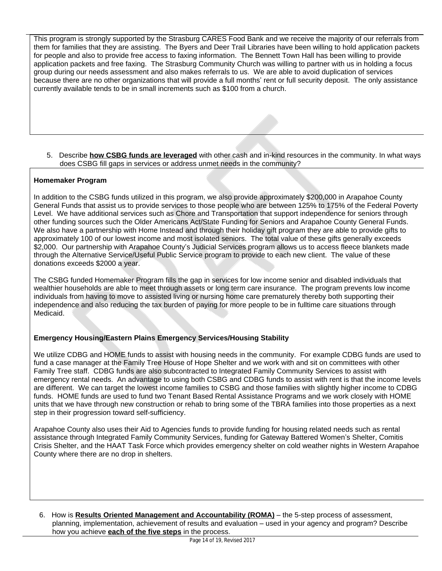This program is strongly supported by the Strasburg CARES Food Bank and we receive the majority of our referrals from them for families that they are assisting. The Byers and Deer Trail Libraries have been willing to hold application packets for people and also to provide free access to faxing information. The Bennett Town Hall has been willing to provide application packets and free faxing. The Strasburg Community Church was willing to partner with us in holding a focus group during our needs assessment and also makes referrals to us. We are able to avoid duplication of services because there are no other organizations that will provide a full months' rent or full security deposit. The only assistance currently available tends to be in small increments such as \$100 from a church.

5. Describe **how CSBG funds are leveraged** with other cash and in-kind resources in the community. In what ways does CSBG fill gaps in services or address unmet needs in the community?

### **Homemaker Program**

In addition to the CSBG funds utilized in this program, we also provide approximately \$200,000 in Arapahoe County General Funds that assist us to provide services to those people who are between 125% to 175% of the Federal Poverty Level. We have additional services such as Chore and Transportation that support independence for seniors through other funding sources such the Older Americans Act/State Funding for Seniors and Arapahoe County General Funds. We also have a partnership with Home Instead and through their holiday gift program they are able to provide gifts to approximately 100 of our lowest income and most isolated seniors. The total value of these gifts generally exceeds \$2,000. Our partnership with Arapahoe County's Judicial Services program allows us to access fleece blankets made through the Alternative Service/Useful Public Service program to provide to each new client. The value of these donations exceeds \$2000 a year.

The CSBG funded Homemaker Program fills the gap in services for low income senior and disabled individuals that wealthier households are able to meet through assets or long term care insurance. The program prevents low income individuals from having to move to assisted living or nursing home care prematurely thereby both supporting their independence and also reducing the tax burden of paying for more people to be in fulltime care situations through Medicaid.

### **Emergency Housing/Eastern Plains Emergency Services/Housing Stability**

We utilize CDBG and HOME funds to assist with housing needs in the community. For example CDBG funds are used to fund a case manager at the Family Tree House of Hope Shelter and we work with and sit on committees with other Family Tree staff. CDBG funds are also subcontracted to Integrated Family Community Services to assist with emergency rental needs. An advantage to using both CSBG and CDBG funds to assist with rent is that the income levels are different. We can target the lowest income families to CSBG and those families with slightly higher income to CDBG funds. HOME funds are used to fund two Tenant Based Rental Assistance Programs and we work closely with HOME units that we have through new construction or rehab to bring some of the TBRA families into those properties as a next step in their progression toward self-sufficiency.

Arapahoe County also uses their Aid to Agencies funds to provide funding for housing related needs such as rental assistance through Integrated Family Community Services, funding for Gateway Battered Women's Shelter, Comitis Crisis Shelter, and the HAAT Task Force which provides emergency shelter on cold weather nights in Western Arapahoe County where there are no drop in shelters.

6. How is **Results Oriented Management and Accountability (ROMA)** – the 5-step process of assessment, planning, implementation, achievement of results and evaluation – used in your agency and program? Describe how you achieve **each of the five steps** in the process.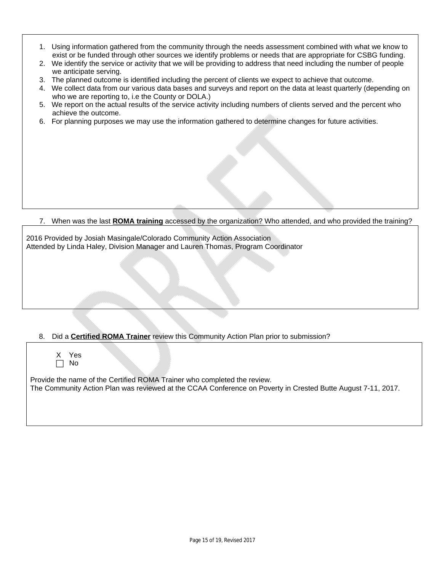- 1. Using information gathered from the community through the needs assessment combined with what we know to exist or be funded through other sources we identify problems or needs that are appropriate for CSBG funding.
- 2. We identify the service or activity that we will be providing to address that need including the number of people we anticipate serving.
- 3. The planned outcome is identified including the percent of clients we expect to achieve that outcome.
- 4. We collect data from our various data bases and surveys and report on the data at least quarterly (depending on who we are reporting to, i.e the County or DOLA.)
- 5. We report on the actual results of the service activity including numbers of clients served and the percent who achieve the outcome.
- 6. For planning purposes we may use the information gathered to determine changes for future activities.

7. When was the last **ROMA training** accessed by the organization? Who attended, and who provided the training?

2016 Provided by Josiah Masingale/Colorado Community Action Association Attended by Linda Haley, Division Manager and Lauren Thomas, Program Coordinator

### 8. Did a **Certified ROMA Trainer** review this Community Action Plan prior to submission?

X Yes No

Provide the name of the Certified ROMA Trainer who completed the review. The Community Action Plan was reviewed at the CCAA Conference on Poverty in Crested Butte August 7-11, 2017.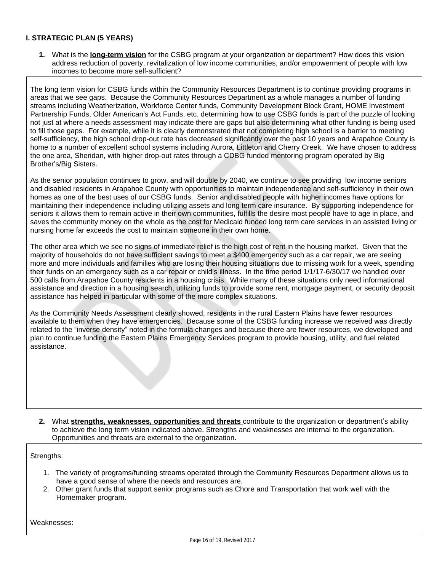## **I. STRATEGIC PLAN (5 YEARS)**

**1.** What is the **long-term vision** for the CSBG program at your organization or department? How does this vision address reduction of poverty, revitalization of low income communities, and/or empowerment of people with low incomes to become more self-sufficient?

The long term vision for CSBG funds within the Community Resources Department is to continue providing programs in areas that we see gaps. Because the Community Resources Department as a whole manages a number of funding streams including Weatherization, Workforce Center funds, Community Development Block Grant, HOME Investment Partnership Funds, Older American's Act Funds, etc. determining how to use CSBG funds is part of the puzzle of looking not just at where a needs assessment may indicate there are gaps but also determining what other funding is being used to fill those gaps. For example, while it is clearly demonstrated that not completing high school is a barrier to meeting self-sufficiency, the high school drop-out rate has decreased significantly over the past 10 years and Arapahoe County is home to a number of excellent school systems including Aurora, Littleton and Cherry Creek. We have chosen to address the one area, Sheridan, with higher drop-out rates through a CDBG funded mentoring program operated by Big Brother's/Big Sisters.

As the senior population continues to grow, and will double by 2040, we continue to see providing low income seniors and disabled residents in Arapahoe County with opportunities to maintain independence and self-sufficiency in their own homes as one of the best uses of our CSBG funds. Senior and disabled people with higher incomes have options for maintaining their independence including utilizing assets and long term care insurance. By supporting independence for seniors it allows them to remain active in their own communities, fulfills the desire most people have to age in place, and saves the community money on the whole as the cost for Medicaid funded long term care services in an assisted living or nursing home far exceeds the cost to maintain someone in their own home.

The other area which we see no signs of immediate relief is the high cost of rent in the housing market. Given that the majority of households do not have sufficient savings to meet a \$400 emergency such as a car repair, we are seeing more and more individuals and families who are losing their housing situations due to missing work for a week, spending their funds on an emergency such as a car repair or child's illness. In the time period 1/1/17-6/30/17 we handled over 500 calls from Arapahoe County residents in a housing crisis. While many of these situations only need informational assistance and direction in a housing search, utilizing funds to provide some rent, mortgage payment, or security deposit assistance has helped in particular with some of the more complex situations.

As the Community Needs Assessment clearly showed, residents in the rural Eastern Plains have fewer resources available to them when they have emergencies. Because some of the CSBG funding increase we received was directly related to the "inverse density" noted in the formula changes and because there are fewer resources, we developed and plan to continue funding the Eastern Plains Emergency Services program to provide housing, utility, and fuel related assistance.

**2.** What **strengths, weaknesses, opportunities and threats** contribute to the organization or department's ability to achieve the long term vision indicated above. Strengths and weaknesses are internal to the organization. Opportunities and threats are external to the organization.

Strengths:

- 1. The variety of programs/funding streams operated through the Community Resources Department allows us to have a good sense of where the needs and resources are.
- 2. Other grant funds that support senior programs such as Chore and Transportation that work well with the Homemaker program.

Weaknesses: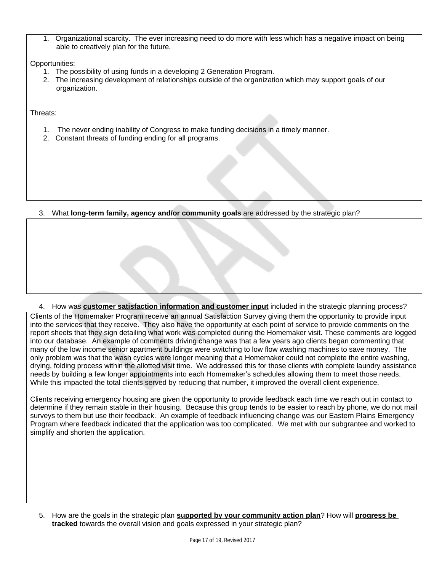1. Organizational scarcity. The ever increasing need to do more with less which has a negative impact on being able to creatively plan for the future.

Opportunities:

- 1. The possibility of using funds in a developing 2 Generation Program.
- 2. The increasing development of relationships outside of the organization which may support goals of our organization.

Threats:

- 1. The never ending inability of Congress to make funding decisions in a timely manner.
- 2. Constant threats of funding ending for all programs.

3. What **long-term family, agency and/or community goals** are addressed by the strategic plan?

4. How was **customer satisfaction information and customer input** included in the strategic planning process?

Clients of the Homemaker Program receive an annual Satisfaction Survey giving them the opportunity to provide input into the services that they receive. They also have the opportunity at each point of service to provide comments on the report sheets that they sign detailing what work was completed during the Homemaker visit. These comments are logged into our database. An example of comments driving change was that a few years ago clients began commenting that many of the low income senior apartment buildings were switching to low flow washing machines to save money. The only problem was that the wash cycles were longer meaning that a Homemaker could not complete the entire washing, drying, folding process within the allotted visit time. We addressed this for those clients with complete laundry assistance needs by building a few longer appointments into each Homemaker's schedules allowing them to meet those needs. While this impacted the total clients served by reducing that number, it improved the overall client experience.

Clients receiving emergency housing are given the opportunity to provide feedback each time we reach out in contact to determine if they remain stable in their housing. Because this group tends to be easier to reach by phone, we do not mail surveys to them but use their feedback. An example of feedback influencing change was our Eastern Plains Emergency Program where feedback indicated that the application was too complicated. We met with our subgrantee and worked to simplify and shorten the application.

5. How are the goals in the strategic plan **supported by your community action plan**? How will **progress be tracked** towards the overall vision and goals expressed in your strategic plan?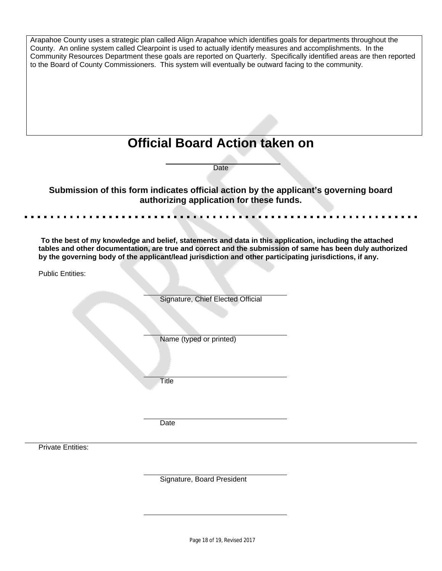|                          | Arapahoe County uses a strategic plan called Align Arapahoe which identifies goals for departments throughout the                                                                                                                                                                                                                              |  |
|--------------------------|------------------------------------------------------------------------------------------------------------------------------------------------------------------------------------------------------------------------------------------------------------------------------------------------------------------------------------------------|--|
|                          | County. An online system called Clearpoint is used to actually identify measures and accomplishments. In the<br>Community Resources Department these goals are reported on Quarterly. Specifically identified areas are then reported<br>to the Board of County Commissioners. This system will eventually be outward facing to the community. |  |
|                          |                                                                                                                                                                                                                                                                                                                                                |  |
|                          |                                                                                                                                                                                                                                                                                                                                                |  |
|                          | <b>Official Board Action taken on</b>                                                                                                                                                                                                                                                                                                          |  |
|                          |                                                                                                                                                                                                                                                                                                                                                |  |
|                          | Date                                                                                                                                                                                                                                                                                                                                           |  |
|                          | Submission of this form indicates official action by the applicant's governing board                                                                                                                                                                                                                                                           |  |
|                          | authorizing application for these funds.                                                                                                                                                                                                                                                                                                       |  |
|                          |                                                                                                                                                                                                                                                                                                                                                |  |
|                          | To the best of my knowledge and belief, statements and data in this application, including the attached                                                                                                                                                                                                                                        |  |
|                          | tables and other documentation, are true and correct and the submission of same has been duly authorized<br>by the governing body of the applicant/lead jurisdiction and other participating jurisdictions, if any.                                                                                                                            |  |
| <b>Public Entities:</b>  |                                                                                                                                                                                                                                                                                                                                                |  |
|                          |                                                                                                                                                                                                                                                                                                                                                |  |
|                          | Signature, Chief Elected Official                                                                                                                                                                                                                                                                                                              |  |
|                          |                                                                                                                                                                                                                                                                                                                                                |  |
|                          |                                                                                                                                                                                                                                                                                                                                                |  |
|                          | Name (typed or printed)                                                                                                                                                                                                                                                                                                                        |  |
|                          |                                                                                                                                                                                                                                                                                                                                                |  |
|                          |                                                                                                                                                                                                                                                                                                                                                |  |
|                          | Title                                                                                                                                                                                                                                                                                                                                          |  |
|                          |                                                                                                                                                                                                                                                                                                                                                |  |
|                          | Date                                                                                                                                                                                                                                                                                                                                           |  |
|                          |                                                                                                                                                                                                                                                                                                                                                |  |
| <b>Private Entities:</b> |                                                                                                                                                                                                                                                                                                                                                |  |
|                          |                                                                                                                                                                                                                                                                                                                                                |  |
|                          | Signature, Board President                                                                                                                                                                                                                                                                                                                     |  |
|                          |                                                                                                                                                                                                                                                                                                                                                |  |
|                          |                                                                                                                                                                                                                                                                                                                                                |  |
|                          |                                                                                                                                                                                                                                                                                                                                                |  |